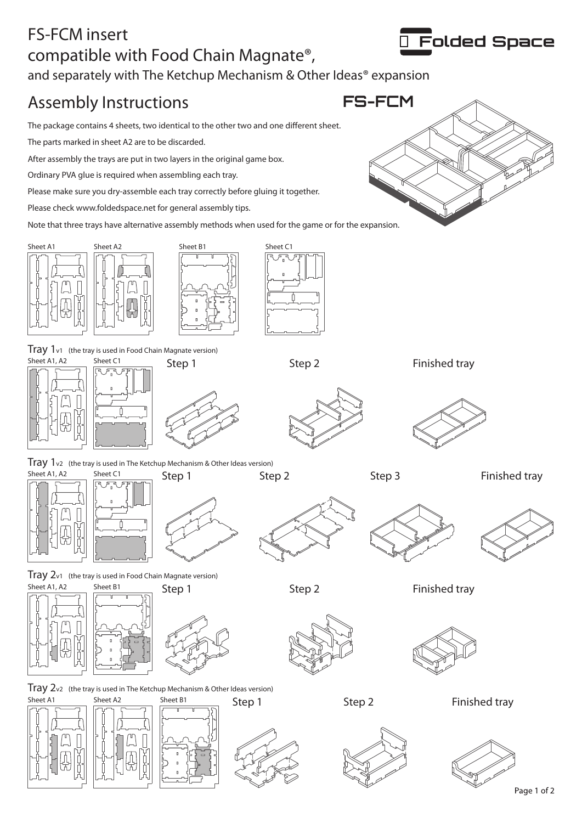## FS-FCM insert compatible with Food Chain Magnate®, and separately with The Ketchup Mechanism & Other Ideas<sup>®</sup> expansion

## Assembly Instructions **FS-FCM**

The package contains 4 sheets, two identical to the other two and one different sheet.

The parts marked in sheet A2 are to be discarded.

After assembly the trays are put in two layers in the original game box.

Ordinary PVA glue is required when assembling each tray.

Please make sure you dry-assemble each tray correctly before gluing it together.

Please check www.foldedspace.net for general assembly tips.

Note that three trays have alternative assembly methods when used for the game or for the expansion.







Sheet A1, A2 Sheet C1 Tray 1v1 (the tray is used in Food Chain Magnate version) Step 1







Step 2



Step 2 Finished tray

Step 1 Step 2 Step 3 Step 3 Finished tray





 $\text{Tray } 2$ v1 (the tray is used in Food Chain Magnate version) Sheet A1, A2 Sheet B1 Step 1 Step 2 Finished tray





 $\text{Tray } 2$ v2 (the tray is used in The Ketchup Mechanism & Other Ideas version)





Finished tray





Folded Space